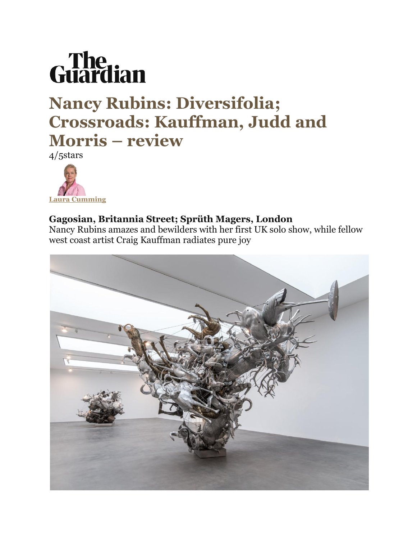

## **Nancy Rubins: Diversifolia; Crossroads: Kauffman, Judd and Morris – review**

4/5stars



## **Gagosian, Britannia Street; Sprüth Magers, London**

Nancy Rubins amazes and bewilders with her first UK solo show, while fellow west coast artist Craig Kauffman radiates pure joy

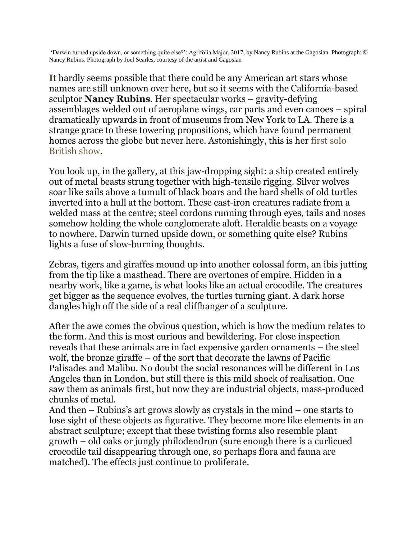'Darwin turned upside down, or something quite else?': Agrifolia Major, 2017, by Nancy Rubins at the Gagosian. Photograph: © Nancy Rubins. Photograph by Joel Searles, courtesy of the artist and Gagosian

**I**t hardly seems possible that there could be any American art stars whose names are still unknown over here, but so it seems with the California-based sculptor **Nancy Rubins**. Her spectacular works – gravity-defying assemblages welded out of aeroplane wings, car parts and even canoes – spiral dramatically upwards in front of museums from New York to LA. There is a strange grace to these towering propositions, which have found permanent homes across the globe but never here. Astonishingly, this is her [first solo](https://www.gagosian.com/exhibitions/nancy-rubins--february-06-2018)  [British show.](https://www.gagosian.com/exhibitions/nancy-rubins--february-06-2018)

You look up, in the gallery, at this jaw-dropping sight: a ship created entirely out of metal beasts strung together with high-tensile rigging. Silver wolves soar like sails above a tumult of black boars and the hard shells of old turtles inverted into a hull at the bottom. These cast-iron creatures radiate from a welded mass at the centre; steel cordons running through eyes, tails and noses somehow holding the whole conglomerate aloft. Heraldic beasts on a voyage to nowhere, Darwin turned upside down, or something quite else? Rubins lights a fuse of slow-burning thoughts.

Zebras, tigers and giraffes mound up into another colossal form, an ibis jutting from the tip like a masthead. There are overtones of empire. Hidden in a nearby work, like a game, is what looks like an actual crocodile. The creatures get bigger as the sequence evolves, the turtles turning giant. A dark horse dangles high off the side of a real cliffhanger of a sculpture.

After the awe comes the obvious question, which is how the medium relates to the form. And this is most curious and bewildering. For close inspection reveals that these animals are in fact expensive garden ornaments – the steel wolf, the bronze giraffe – of the sort that decorate the lawns of Pacific Palisades and Malibu. No doubt the social resonances will be different in Los Angeles than in London, but still there is this mild shock of realisation. One saw them as animals first, but now they are industrial objects, mass-produced chunks of metal.

And then – Rubins's art grows slowly as crystals in the mind – one starts to lose sight of these objects as figurative. They become more like elements in an abstract sculpture; except that these twisting forms also resemble plant growth – old oaks or jungly philodendron (sure enough there is a curlicued crocodile tail disappearing through one, so perhaps flora and fauna are matched). The effects just continue to proliferate.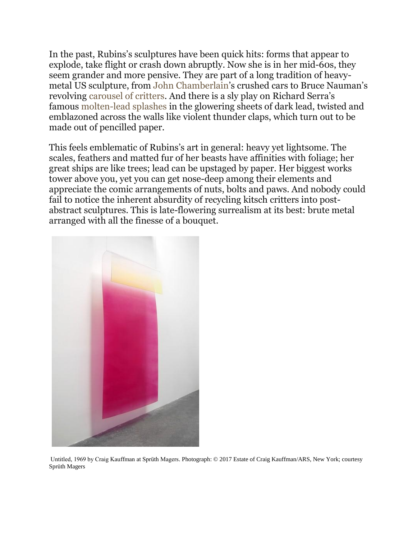In the past, Rubins's sculptures have been quick hits: forms that appear to explode, take flight or crash down abruptly. Now she is in her mid-60s, they seem grander and more pensive. They are part of a long tradition of heavymetal US sculpture, from [John Chamberlain](http://www.tate.org.uk/art/artists/john-chamberlain-885)'s crushed cars to Bruce Nauman's revolving [carousel of critters](https://www.theguardian.com/artanddesign/video/2013/jan/30/bruce-nauman-art-video-review). And there is a sly play on Richard Serra's famous [molten-lead splashes](https://www.sfmoma.org/watch/richard-serra-throws-molten-lead-inside-sfmoma/) in the glowering sheets of dark lead, twisted and emblazoned across the walls like violent thunder claps, which turn out to be made out of pencilled paper.

This feels emblematic of Rubins's art in general: heavy yet lightsome. The scales, feathers and matted fur of her beasts have affinities with foliage; her great ships are like trees; lead can be upstaged by paper. Her biggest works tower above you, yet you can get nose-deep among their elements and appreciate the comic arrangements of nuts, bolts and paws. And nobody could fail to notice the inherent absurdity of recycling kitsch critters into postabstract sculptures. This is late-flowering surrealism at its best: brute metal arranged with all the finesse of a bouquet.



Untitled, 1969 by Craig Kauffman at Sprüth Magers. Photograph: © 2017 Estate of Craig Kauffman/ARS, New York; courtesy Sprüth Magers